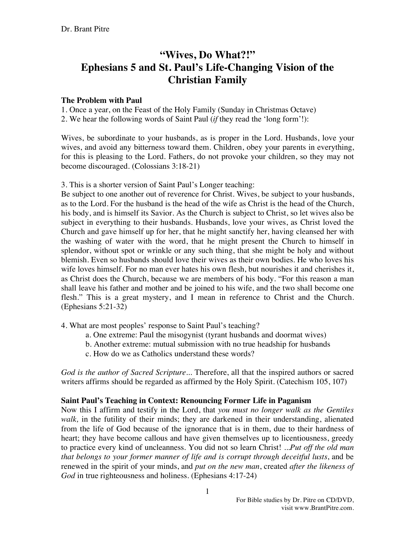# **"Wives, Do What?!" Ephesians 5 and St. Paul's Life-Changing Vision of the Christian Family**

# **The Problem with Paul**

1. Once a year, on the Feast of the Holy Family (Sunday in Christmas Octave)

2. We hear the following words of Saint Paul (*if* they read the 'long form'!):

Wives, be subordinate to your husbands, as is proper in the Lord. Husbands, love your wives, and avoid any bitterness toward them. Children, obey your parents in everything, for this is pleasing to the Lord. Fathers, do not provoke your children, so they may not become discouraged. (Colossians 3:18-21)

3. This is a shorter version of Saint Paul's Longer teaching:

Be subject to one another out of reverence for Christ. Wives, be subject to your husbands, as to the Lord. For the husband is the head of the wife as Christ is the head of the Church, his body, and is himself its Savior. As the Church is subject to Christ, so let wives also be subject in everything to their husbands. Husbands, love your wives, as Christ loved the Church and gave himself up for her, that he might sanctify her, having cleansed her with the washing of water with the word, that he might present the Church to himself in splendor, without spot or wrinkle or any such thing, that she might be holy and without blemish. Even so husbands should love their wives as their own bodies. He who loves his wife loves himself. For no man ever hates his own flesh, but nourishes it and cherishes it, as Christ does the Church, because we are members of his body. "For this reason a man shall leave his father and mother and be joined to his wife, and the two shall become one flesh." This is a great mystery, and I mean in reference to Christ and the Church. (Ephesians 5:21-32)

4. What are most peoples' response to Saint Paul's teaching?

- a. One extreme: Paul the misogynist (tyrant husbands and doormat wives)
- b. Another extreme: mutual submission with no true headship for husbands
- c. How do we as Catholics understand these words?

*God is the author of Sacred Scripture*... Therefore, all that the inspired authors or sacred writers affirms should be regarded as affirmed by the Holy Spirit. (Catechism 105, 107)

# **Saint Paul's Teaching in Context: Renouncing Former Life in Paganism**

Now this I affirm and testify in the Lord, that *you must no longer walk as the Gentiles walk,* in the futility of their minds; they are darkened in their understanding, alienated from the life of God because of the ignorance that is in them, due to their hardness of heart; they have become callous and have given themselves up to licentiousness, greedy to practice every kind of uncleanness. You did not so learn Christ! ...*Put off the old man that belongs to your former manner of life and is corrupt through deceitful lusts*, and be renewed in the spirit of your minds, and *put on the new man*, created *after the likeness of God* in true righteousness and holiness. (Ephesians 4:17-24)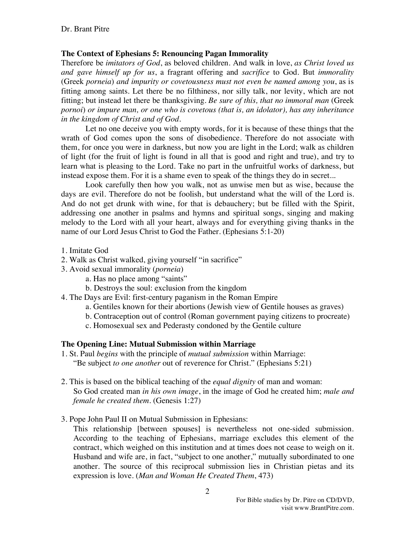## **The Context of Ephesians 5: Renouncing Pagan Immorality**

Therefore be *imitators of God*, as beloved children. And walk in love, *as Christ loved us and gave himself up for us*, a fragrant offering and *sacrifice* to God. But *immorality* (Greek *porneia*) *and impurity or covetousness must not even be named among you*, as is fitting among saints. Let there be no filthiness, nor silly talk, nor levity, which are not fitting; but instead let there be thanksgiving. *Be sure of this, that no immoral man* (Greek *pornoi*) *or impure man, or one who is covetous (that is, an idolator), has any inheritance in the kingdom of Christ and of God.*

Let no one deceive you with empty words, for it is because of these things that the wrath of God comes upon the sons of disobedience. Therefore do not associate with them, for once you were in darkness, but now you are light in the Lord; walk as children of light (for the fruit of light is found in all that is good and right and true), and try to learn what is pleasing to the Lord. Take no part in the unfruitful works of darkness, but instead expose them. For it is a shame even to speak of the things they do in secret...

Look carefully then how you walk, not as unwise men but as wise, because the days are evil. Therefore do not be foolish, but understand what the will of the Lord is. And do not get drunk with wine, for that is debauchery; but be filled with the Spirit, addressing one another in psalms and hymns and spiritual songs, singing and making melody to the Lord with all your heart, always and for everything giving thanks in the name of our Lord Jesus Christ to God the Father. (Ephesians 5:1-20)

- 1. Imitate God
- 2. Walk as Christ walked, giving yourself "in sacrifice"
- 3. Avoid sexual immorality (*porneia*)
	- a. Has no place among "saints"
	- b. Destroys the soul: exclusion from the kingdom
- 4. The Days are Evil: first-century paganism in the Roman Empire
	- a. Gentiles known for their abortions (Jewish view of Gentile houses as graves)
	- b. Contraception out of control (Roman government paying citizens to procreate)
	- c. Homosexual sex and Pederasty condoned by the Gentile culture

# **The Opening Line: Mutual Submission within Marriage**

- 1. St. Paul *begins* with the principle of *mutual submission* within Marriage: "Be subject *to one another* out of reverence for Christ." (Ephesians 5:21)
- 2. This is based on the biblical teaching of the *equal dignity* of man and woman: So God created man *in his own image*, in the image of God he created him; *male and female he created them*. (Genesis 1:27)
- 3. Pope John Paul II on Mutual Submission in Ephesians:

This relationship [between spouses] is nevertheless not one-sided submission. According to the teaching of Ephesians, marriage excludes this element of the contract, which weighed on this institution and at times does not cease to weigh on it. Husband and wife are, in fact, "subject to one another," mutually subordinated to one another. The source of this reciprocal submission lies in Christian pietas and its expression is love. (*Man and Woman He Created Them*, 473)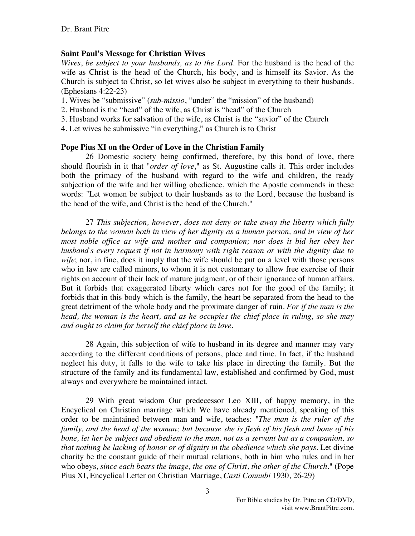## **Saint Paul's Message for Christian Wives**

*Wives*, *be subject to your husbands, as to the Lord*. For the husband is the head of the wife as Christ is the head of the Church, his body, and is himself its Savior. As the Church is subject to Christ, so let wives also be subject in everything to their husbands. (Ephesians 4:22-23)

- 1. Wives be "submissive" (*sub-missio*, "under" the "mission" of the husband)
- 2. Husband is the "head" of the wife, as Christ is "head" of the Church
- 3. Husband works for salvation of the wife, as Christ is the "savior" of the Church
- 4. Let wives be submissive "in everything," as Church is to Christ

## **Pope Pius XI on the Order of Love in the Christian Family**

26 Domestic society being confirmed, therefore, by this bond of love, there should flourish in it that "*order of love*," as St. Augustine calls it. This order includes both the primacy of the husband with regard to the wife and children, the ready subjection of the wife and her willing obedience, which the Apostle commends in these words: "Let women be subject to their husbands as to the Lord, because the husband is the head of the wife, and Christ is the head of the Church."

27 *This subjection, however, does not deny or take away the liberty which fully belongs to the woman both in view of her dignity as a human person, and in view of her most noble office as wife and mother and companion; nor does it bid her obey her husband's every request if not in harmony with right reason or with the dignity due to wife*; nor, in fine, does it imply that the wife should be put on a level with those persons who in law are called minors, to whom it is not customary to allow free exercise of their rights on account of their lack of mature judgment, or of their ignorance of human affairs. But it forbids that exaggerated liberty which cares not for the good of the family; it forbids that in this body which is the family, the heart be separated from the head to the great detriment of the whole body and the proximate danger of ruin. *For if the man is the head, the woman is the heart, and as he occupies the chief place in ruling, so she may and ought to claim for herself the chief place in love*.

28 Again, this subjection of wife to husband in its degree and manner may vary according to the different conditions of persons, place and time. In fact, if the husband neglect his duty, it falls to the wife to take his place in directing the family. But the structure of the family and its fundamental law, established and confirmed by God, must always and everywhere be maintained intact.

29 With great wisdom Our predecessor Leo XIII, of happy memory, in the Encyclical on Christian marriage which We have already mentioned, speaking of this order to be maintained between man and wife, teaches: "*The man is the ruler of the family, and the head of the woman; but because she is flesh of his flesh and bone of his bone, let her be subject and obedient to the man, not as a servant but as a companion, so that nothing be lacking of honor or of dignity in the obedience which she pays*. Let divine charity be the constant guide of their mutual relations, both in him who rules and in her who obeys, *since each bears the image, the one of Christ, the other of the Church*." (Pope Pius XI, Encyclical Letter on Christian Marriage, *Casti Connubi* 1930, 26-29)